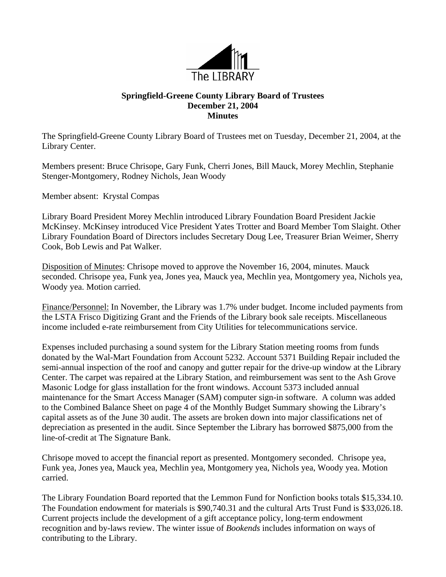

## **Springfield-Greene County Library Board of Trustees December 21, 2004 Minutes**

The Springfield-Greene County Library Board of Trustees met on Tuesday, December 21, 2004, at the Library Center.

Members present: Bruce Chrisope, Gary Funk, Cherri Jones, Bill Mauck, Morey Mechlin, Stephanie Stenger-Montgomery, Rodney Nichols, Jean Woody

Member absent: Krystal Compas

Library Board President Morey Mechlin introduced Library Foundation Board President Jackie McKinsey. McKinsey introduced Vice President Yates Trotter and Board Member Tom Slaight. Other Library Foundation Board of Directors includes Secretary Doug Lee, Treasurer Brian Weimer, Sherry Cook, Bob Lewis and Pat Walker.

Disposition of Minutes: Chrisope moved to approve the November 16, 2004, minutes. Mauck seconded. Chrisope yea, Funk yea, Jones yea, Mauck yea, Mechlin yea, Montgomery yea, Nichols yea, Woody yea. Motion carried.

Finance/Personnel: In November, the Library was 1.7% under budget. Income included payments from the LSTA Frisco Digitizing Grant and the Friends of the Library book sale receipts. Miscellaneous income included e-rate reimbursement from City Utilities for telecommunications service.

Expenses included purchasing a sound system for the Library Station meeting rooms from funds donated by the Wal-Mart Foundation from Account 5232. Account 5371 Building Repair included the semi-annual inspection of the roof and canopy and gutter repair for the drive-up window at the Library Center. The carpet was repaired at the Library Station, and reimbursement was sent to the Ash Grove Masonic Lodge for glass installation for the front windows. Account 5373 included annual maintenance for the Smart Access Manager (SAM) computer sign-in software. A column was added to the Combined Balance Sheet on page 4 of the Monthly Budget Summary showing the Library's capital assets as of the June 30 audit. The assets are broken down into major classifications net of depreciation as presented in the audit. Since September the Library has borrowed \$875,000 from the line-of-credit at The Signature Bank.

Chrisope moved to accept the financial report as presented. Montgomery seconded. Chrisope yea, Funk yea, Jones yea, Mauck yea, Mechlin yea, Montgomery yea, Nichols yea, Woody yea. Motion carried.

The Library Foundation Board reported that the Lemmon Fund for Nonfiction books totals \$15,334.10. The Foundation endowment for materials is \$90,740.31 and the cultural Arts Trust Fund is \$33,026.18. Current projects include the development of a gift acceptance policy, long-term endowment recognition and by-laws review. The winter issue of *Bookends* includes information on ways of contributing to the Library.